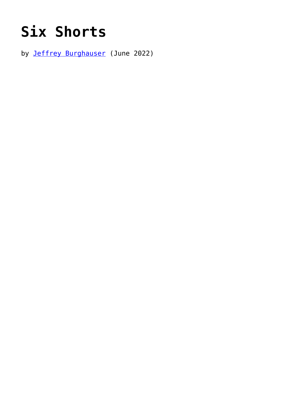## **[Six Shorts](https://www.newenglishreview.org/articles/six-shorts/)**

by [Jeffrey Burghauser](https://www.newenglishreview.org/authors/jeffrey-burghauser/) (June 2022)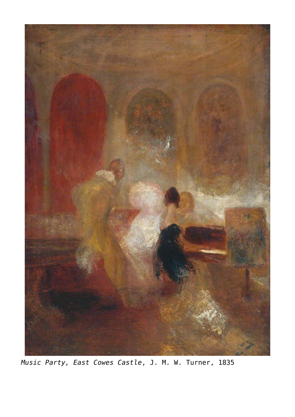

*Music Party, East Cowes Castle*, J. M. W. Turner, 1835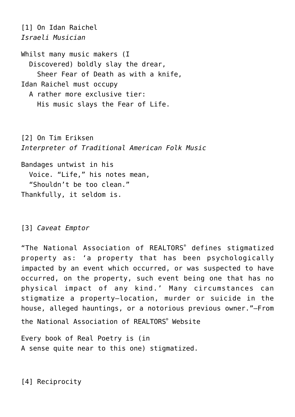*Israeli Musician* Whilst many music makers (I Discovered) boldly slay the drear, Sheer Fear of Death as with a knife, Idan Raichel must occupy A rather more exclusive tier: His music slays the Fear of Life.

[2] On Tim Eriksen *Interpreter of Traditional American Folk Music*

Bandages untwist in his Voice. "Life," his notes mean, \_\_"Shouldn't be too clean." Thankfully, it seldom is.

## [3] *Caveat Emptor*

[1] On Idan Raichel

"The National Association of REALTORS® defines stigmatized property as: 'a property that has been psychologically impacted by an event which occurred, or was suspected to have occurred, on the property, such event being one that has no physical impact of any kind.' Many circumstances can stigmatize a property—location, murder or suicide in the house, alleged hauntings, or a notorious previous owner."—From the National Association of REALTORS® Website

Every book of Real Poetry is (in A sense quite near to this one) stigmatized.

[4] Reciprocity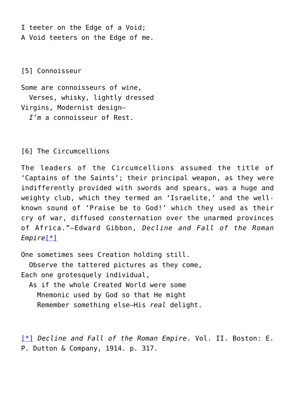I teeter on the Edge of a Void; A Void teeters on the Edge of me.

[5] Connoisseur

Some are connoisseurs of wine, Verses, whisky, lightly dressed Virgins, Modernist design— *\_\_I'm* a connoisseur of Rest.

[6] The Circumcellions

The leaders of the Circumcellions assumed the title of 'Captains of the Saints'; their principal weapon, as they were indifferently provided with swords and spears, was a huge and weighty club, which they termed an 'Israelite,' and the wellknown sound of 'Praise be to God!' which they used as their cry of war, diffused consternation over the unarmed provinces of Africa."—Edward Gibbon, *Decline and Fall of the Roman Empire*[\[\\*\]](#page-3-0)

<span id="page-3-1"></span>One sometimes sees Creation holding still.

Observe the tattered pictures as they come, Each one grotesquely individual,

As if the whole Created World were some Mnemonic used by God so that He might \_\_\_\_Remember something else—His *real* delight.

<span id="page-3-0"></span>[\[\\*\]](#page-3-1) *Decline and Fall of the Roman Empire*. Vol. II. Boston: E. P. Dutton & Company, 1914. p. 317.